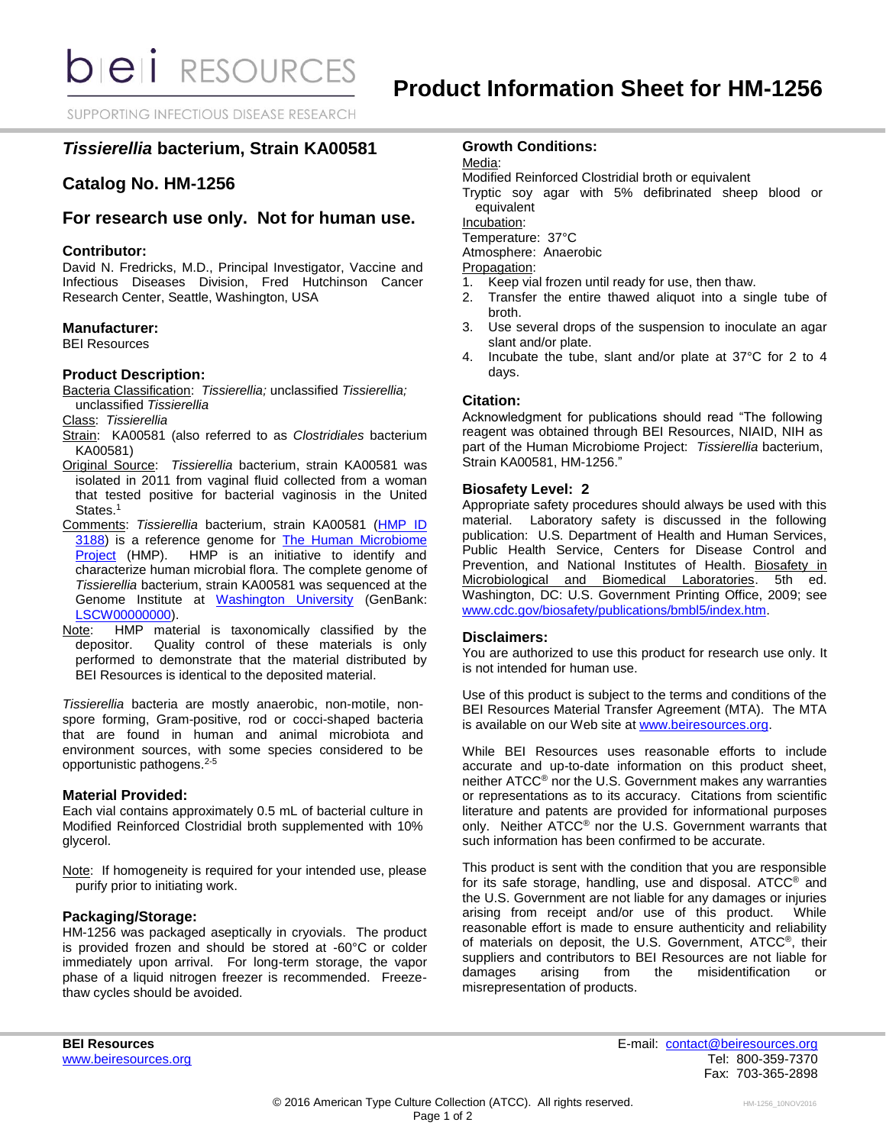SUPPORTING INFECTIOUS DISEASE RESEARCH

# *Tissierellia* **bacterium, Strain KA00581**

# **Catalog No. HM-1256**

# **For research use only. Not for human use.**

### **Contributor:**

David N. Fredricks, M.D., Principal Investigator, Vaccine and Infectious Diseases Division, Fred Hutchinson Cancer Research Center, Seattle, Washington, USA

## **Manufacturer:**

BEI Resources

# **Product Description:**

Bacteria Classification: *Tissierellia;* unclassified *Tissierellia;* 

unclassified *Tissierellia*

Class: *Tissierellia*

- Strain: KA00581 (also referred to as *Clostridiales* bacterium KA00581)
- Original Source: *Tissierellia* bacterium, strain KA00581 was isolated in 2011 from vaginal fluid collected from a woman that tested positive for bacterial vaginosis in the United States.<sup>1</sup>
- Comments: *Tissierellia* bacterium, strain KA00581 [\(HMP ID](http://www.hmpdacc.org/catalog/grid.php?dataset=genomic&hmp_id=3188)  [3188\)](http://www.hmpdacc.org/catalog/grid.php?dataset=genomic&hmp_id=3188) is a reference genome for [The Human Microbiome](http://nihroadmap.nih.gov/hmp/)<br>Project (HMP). HMP is an initiative to identify and HMP is an initiative to identify and characterize human microbial flora. The complete genome of *Tissierellia* bacterium, strain KA00581 was sequenced at the Genome Institute at **[Washington University](http://www.genome.wustl.edu/projects/detail/human-microbiome-project/)** (GenBank: LSCW000000000).
- Note: HMP material is taxonomically classified by the depositor. Quality control of these materials is only performed to demonstrate that the material distributed by BEI Resources is identical to the deposited material.

*Tissierellia* bacteria are mostly anaerobic, non-motile, nonspore forming, Gram-positive, rod or cocci-shaped bacteria that are found in human and animal microbiota and environment sources, with some species considered to be opportunistic pathogens.2-5

## **Material Provided:**

Each vial contains approximately 0.5 mL of bacterial culture in Modified Reinforced Clostridial broth supplemented with 10% glycerol.

Note: If homogeneity is required for your intended use, please purify prior to initiating work.

## **Packaging/Storage:**

HM-1256 was packaged aseptically in cryovials. The product is provided frozen and should be stored at -60°C or colder immediately upon arrival. For long-term storage, the vapor phase of a liquid nitrogen freezer is recommended. Freezethaw cycles should be avoided.

# **Growth Conditions:**

### Media:

Modified Reinforced Clostridial broth or equivalent

Tryptic soy agar with 5% defibrinated sheep blood or equivalent

Incubation:

Temperature: 37°C

Atmosphere: Anaerobic Propagation:

- 1. Keep vial frozen until ready for use, then thaw.
- 2. Transfer the entire thawed aliquot into a single tube of broth.
- 3. Use several drops of the suspension to inoculate an agar slant and/or plate.
- 4. Incubate the tube, slant and/or plate at 37°C for 2 to 4 days.

## **Citation:**

Acknowledgment for publications should read "The following reagent was obtained through BEI Resources, NIAID, NIH as part of the Human Microbiome Project: *Tissierellia* bacterium, Strain KA00581, HM-1256."

## **Biosafety Level: 2**

Appropriate safety procedures should always be used with this material. Laboratory safety is discussed in the following publication: U.S. Department of Health and Human Services, Public Health Service, Centers for Disease Control and Prevention, and National Institutes of Health. Biosafety in Microbiological and Biomedical Laboratories. 5th ed. Washington, DC: U.S. Government Printing Office, 2009; see [www.cdc.gov/biosafety/publications/bmbl5/index.htm.](http://www.cdc.gov/biosafety/publications/bmbl5/index.htm)

#### **Disclaimers:**

You are authorized to use this product for research use only. It is not intended for human use.

Use of this product is subject to the terms and conditions of the BEI Resources Material Transfer Agreement (MTA). The MTA is available on our Web site at [www.beiresources.org.](http://www.beiresources.org/)

While BEI Resources uses reasonable efforts to include accurate and up-to-date information on this product sheet, neither ATCC® nor the U.S. Government makes any warranties or representations as to its accuracy. Citations from scientific literature and patents are provided for informational purposes only. Neither ATCC® nor the U.S. Government warrants that such information has been confirmed to be accurate.

This product is sent with the condition that you are responsible for its safe storage, handling, use and disposal. ATCC® and the U.S. Government are not liable for any damages or injuries arising from receipt and/or use of this product. While reasonable effort is made to ensure authenticity and reliability of materials on deposit, the U.S. Government, ATCC®, their suppliers and contributors to BEI Resources are not liable for damages arising from the misidentification or misrepresentation of products.

**BEI Resources** E-mail: [contact@beiresources.org](mailto:contact@beiresources.org) [www.beiresources.org](http://www.beiresources.org/) **Tel: 800-359-7370** Fax: 703-365-2898